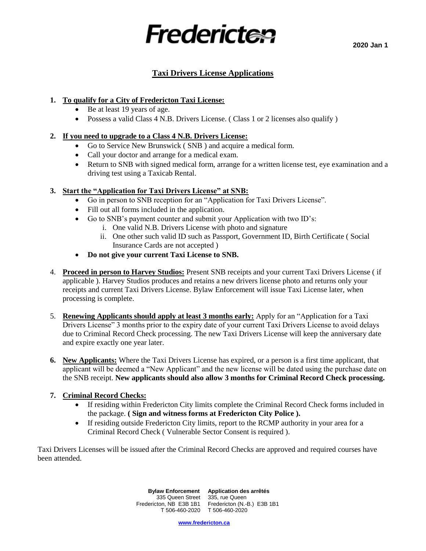

## **Taxi Drivers License Applications**

#### **1. To qualify for a City of Fredericton Taxi License:**

- Be at least 19 years of age.
- Possess a valid Class 4 N.B. Drivers License. (Class 1 or 2 licenses also qualify)

#### **2. If you need to upgrade to a Class 4 N.B. Drivers License:**

- Go to Service New Brunswick ( SNB ) and acquire a medical form.
- Call your doctor and arrange for a medical exam.
- Return to SNB with signed medical form, arrange for a written license test, eye examination and a driving test using a Taxicab Rental.

#### **3. Start the "Application for Taxi Drivers License" at SNB:**

- Go in person to SNB reception for an "Application for Taxi Drivers License".
- Fill out all forms included in the application.
- Go to SNB's payment counter and submit your Application with two ID's:
	- i. One valid N.B. Drivers License with photo and signature
	- ii. One other such valid ID such as Passport, Government ID, Birth Certificate ( Social Insurance Cards are not accepted )
- **Do not give your current Taxi License to SNB.**
- 4. **Proceed in person to Harvey Studios:** Present SNB receipts and your current Taxi Drivers License ( if applicable ). Harvey Studios produces and retains a new drivers license photo and returns only your receipts and current Taxi Drivers License. Bylaw Enforcement will issue Taxi License later, when processing is complete.
- 5. **Renewing Applicants should apply at least 3 months early:** Apply for an "Application for a Taxi Drivers License" 3 months prior to the expiry date of your current Taxi Drivers License to avoid delays due to Criminal Record Check processing. The new Taxi Drivers License will keep the anniversary date and expire exactly one year later.
- **6. New Applicants:** Where the Taxi Drivers License has expired, or a person is a first time applicant, that applicant will be deemed a "New Applicant" and the new license will be dated using the purchase date on the SNB receipt. **New applicants should also allow 3 months for Criminal Record Check processing.**

#### **7. Criminal Record Checks:**

- If residing within Fredericton City limits complete the Criminal Record Check forms included in the package. **( Sign and witness forms at Fredericton City Police ).**
- If residing outside Fredericton City limits, report to the RCMP authority in your area for a Criminal Record Check ( Vulnerable Sector Consent is required ).

Taxi Drivers Licenses will be issued after the Criminal Record Checks are approved and required courses have been attended.

 **Bylaw Enforcement Application des arrêtés** 335 Queen Street 335, rue Queen Fredericton, NB E3B 1B1 T 506-460-2020 Fredericton (N.-B.) E3B 1B1 T 506-460-2020

**[www.fredericton.ca](http://www.fredericton.ca/)**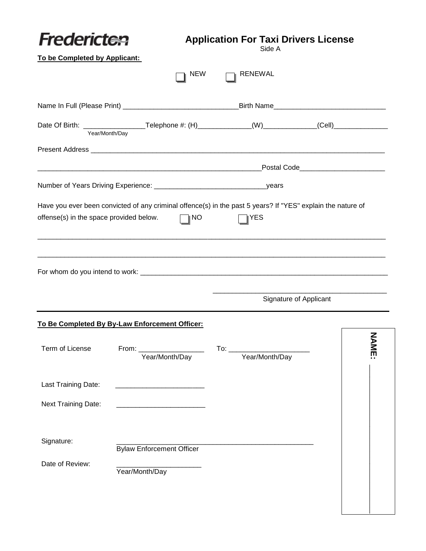| Fredericten                             |                                                | <b>Application For Taxi Drivers License</b>                                                                 |                                                                                                      |
|-----------------------------------------|------------------------------------------------|-------------------------------------------------------------------------------------------------------------|------------------------------------------------------------------------------------------------------|
| To be Completed by Applicant:           |                                                | Side A                                                                                                      |                                                                                                      |
|                                         |                                                | <b>RENEWAL</b><br><b>NEW</b>                                                                                |                                                                                                      |
|                                         |                                                |                                                                                                             |                                                                                                      |
| Year/Month/Day                          |                                                |                                                                                                             | Date Of Birth: _____________________Telephone #: (H)______________(W)____________(Cell)_____________ |
|                                         |                                                |                                                                                                             |                                                                                                      |
|                                         |                                                |                                                                                                             |                                                                                                      |
|                                         |                                                |                                                                                                             |                                                                                                      |
|                                         |                                                | Have you ever been convicted of any criminal offence(s) in the past 5 years? If "YES" explain the nature of |                                                                                                      |
| offense(s) in the space provided below. | $\Box$ i No                                    | ∥YES                                                                                                        |                                                                                                      |
|                                         | To Be Completed By By-Law Enforcement Officer: |                                                                                                             | Signature of Applicant                                                                               |
| Term of License                         | From: $\_$                                     | $To:$ $\_\_$                                                                                                | ξ                                                                                                    |
|                                         | Year/Month/Day                                 | Year/Month/Day                                                                                              | 즭                                                                                                    |
| Last Training Date:                     |                                                |                                                                                                             |                                                                                                      |
| <b>Next Training Date:</b>              |                                                |                                                                                                             |                                                                                                      |
| Signature:                              | <b>Bylaw Enforcement Officer</b>               |                                                                                                             |                                                                                                      |
| Date of Review:                         | Year/Month/Day                                 |                                                                                                             |                                                                                                      |
|                                         |                                                |                                                                                                             |                                                                                                      |
|                                         |                                                |                                                                                                             |                                                                                                      |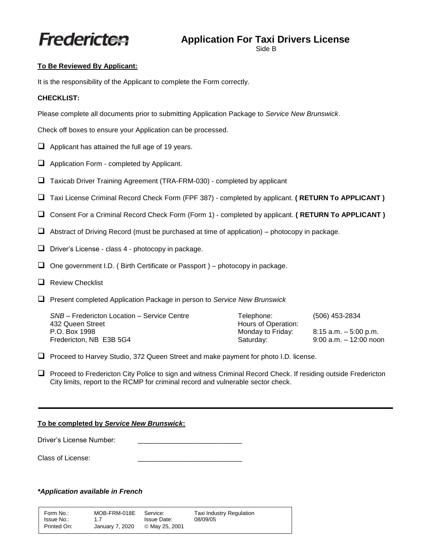# Fredericten

# **Application For Taxi Drivers License**

Side B

#### **To Be Reviewed By Applicant:**

It is the responsibility of the Applicant to complete the Form correctly.

#### **CHECKLIST:**

Please complete all documents prior to submitting Application Package to *Service New Brunswick*.

Check off boxes to ensure your Application can be processed.

- $\Box$  Applicant has attained the full age of 19 years.
- ❑ Application Form completed by Applicant.
- ❑ Taxicab Driver Training Agreement (TRA-FRM-030) completed by applicant
- ❑ Taxi License Criminal Record Check Form (FPF 387) completed by applicant. **( RETURN To APPLICANT )**
- ❑ Consent For a Criminal Record Check Form (Form 1) completed by applicant. **( RETURN To APPLICANT )**
- ❑ Abstract of Driving Record (must be purchased at time of application) photocopy in package.
- ❑ Driver's License class 4 photocopy in package.
- $\Box$  One government I.D. (Birth Certificate or Passport ) photocopy in package.
- ❑ Review Checklist
- ❑ Present completed Application Package in person to *Service New Brunswick*

| SNB - Fredericton Location - Service Centre | Telephone:          | (506) 453-2834            |
|---------------------------------------------|---------------------|---------------------------|
| 432 Queen Street                            | Hours of Operation: |                           |
| P.O. Box 1998                               | Monday to Friday:   | 8:15 a.m. – 5:00 p.m.     |
| Fredericton, NB E3B 5G4                     | Saturday:           | $9:00$ a.m. $-12:00$ noon |

❑ Proceed to Harvey Studio, 372 Queen Street and make payment for photo I.D. license.

❑ Proceed to Fredericton City Police to sign and witness Criminal Record Check. If residing outside Fredericton City limits, report to the RCMP for criminal record and vulnerable sector check.

#### **To be completed by** *Service New Brunswick***:**

Driver's License Number:

Class of License:

### *\*Application available in French*

| Form No.:   | MOB-FRM-018E    | Service:           | Taxi Industry Regulation |
|-------------|-----------------|--------------------|--------------------------|
| Issue No.:  | 17              | <b>Issue Date:</b> | 08/09/05                 |
| Printed On: | January 7, 2020 | © May 25, 2001     |                          |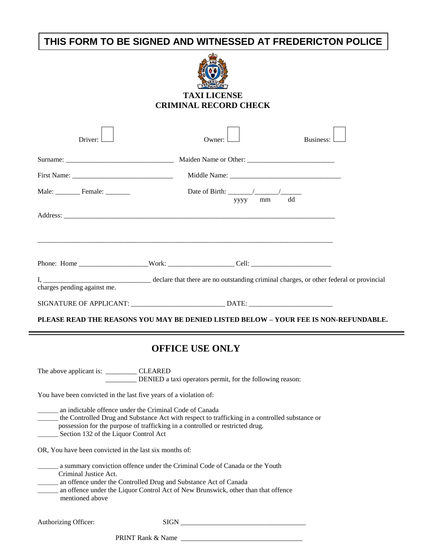# **THIS FORM TO BE SIGNED AND WITNESSED AT FREDERICTON POLICE**



## **TAXI LICENSE CRIMINAL RECORD CHECK**

| Driver:                     | Owner:                                                                               | Business: |
|-----------------------------|--------------------------------------------------------------------------------------|-----------|
|                             |                                                                                      |           |
|                             |                                                                                      |           |
| Male: Female:               | mm<br>уууу                                                                           | dd        |
|                             |                                                                                      |           |
|                             |                                                                                      |           |
| charges pending against me. |                                                                                      |           |
|                             |                                                                                      |           |
|                             | PLEASE READ THE REASONS YOU MAY BE DENIED LISTED BELOW - YOUR FEE IS NON-REFUNDABLE. |           |

## **OFFICE USE ONLY**

The above applicant is: \_\_\_\_\_\_\_\_\_\_\_\_\_ CLEARED \_\_\_\_\_\_\_\_\_ DENIED a taxi operators permit, for the following reason:

You have been convicted in the last five years of a violation of:

\_\_\_\_\_\_\_ an indictable offence under the Criminal Code of Canada \_\_\_\_\_\_\_ the Controlled Drug and Substance Act with respect to trafficking in a controlled substance or possession for the purpose of trafficking in a controlled or restricted drug. \_\_\_\_\_\_\_ Section 132 of the Liquor Control Act

OR, You have been convicted in the last six months of:

\_\_\_\_\_\_\_ a summary conviction offence under the Criminal Code of Canada or the Youth Criminal Justice Act.

\_\_\_\_\_\_\_ an offence under the Controlled Drug and Substance Act of Canada

\_\_\_\_\_\_\_ an offence under the Liquor Control Act of New Brunswick, other than that offence mentioned above

Authorizing Officer: SIGN \_\_\_\_\_\_\_\_\_\_\_\_\_\_\_\_\_\_\_\_\_\_\_\_\_\_\_\_\_\_\_\_\_\_\_\_

PRINT Rank & Name \_\_\_\_\_\_\_\_\_\_\_\_\_\_\_\_\_\_\_\_\_\_\_\_\_\_\_\_\_\_\_\_\_\_\_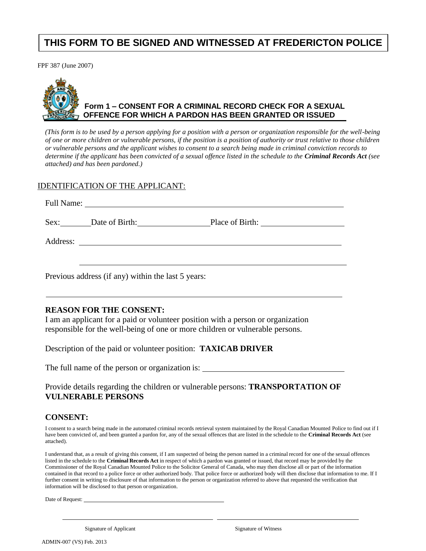# **THIS FORM TO BE SIGNED AND WITNESSED AT FREDERICTON POLICE**

FPF 387 (June 2007)



## **Form 1 – CONSENT FOR A CRIMINAL RECORD CHECK FOR A SEXUAL OFFENCE FOR WHICH A PARDON HAS BEEN GRANTED OR ISSUED**

*(This form is to be used by a person applying for a position with a person or organization responsible for the well-being of one or more children or vulnerable persons, if the position is a position of authority or trust relative to those children or vulnerable persons and the applicant wishes to consent to a search being made in criminal conviction records to determine if the applicant has been convicted of a sexual offence listed in the schedule to the Criminal Records Act (see attached) and has been pardoned.)*

### IDENTIFICATION OF THE APPLICANT:

| Sex: Date of Birth:                                |  |
|----------------------------------------------------|--|
|                                                    |  |
| Previous address (if any) within the last 5 years: |  |

### **REASON FOR THE CONSENT:**

I am an applicant for a paid or volunteer position with a person or organization responsible for the well-being of one or more children or vulnerable persons.

Description of the paid or volunteer position: **TAXICAB DRIVER** 

The full name of the person or organization is:

### Provide details regarding the children or vulnerable persons: **TRANSPORTATION OF VULNERABLE PERSONS**

## **CONSENT:**

I consent to a search being made in the automated criminal records retrieval system maintained by the Royal Canadian Mounted Police to find out if I have been convicted of, and been granted a pardon for, any of the sexual offences that are listed in the schedule to the **Criminal Records Act** (see attached).

I understand that, as a result of giving this consent, if I am suspected of being the person named in a criminal record for one of the sexual offences listed in the schedule to the **Criminal Records Act** in respect of which a pardon was granted or issued, that record may be provided by the Commissioner of the Royal Canadian Mounted Police to the Solicitor General of Canada, who may then disclose all or part of the information contained in that record to a police force or other authorized body. That police force or authorized body will then disclose that information to me. If I further consent in writing to disclosure of that information to the person or organization referred to above that requested the verification that information will be disclosed to that person ororganization.

Date of Request:

Signature of Applicant Signature of Witness